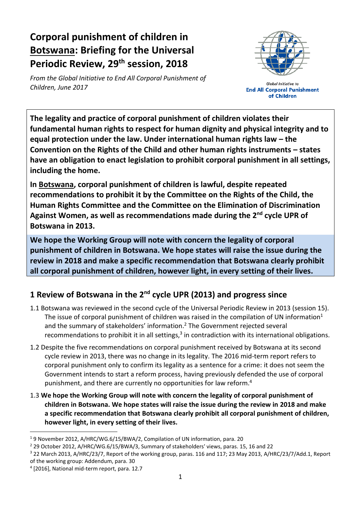# **Corporal punishment of children in Botswana: Briefing for the Universal Periodic Review, 29 th session, 2018**

*From the Global Initiative to End All Corporal Punishment of Children, June 2017*



**Global Initiative to End All Corporal Punishment** of Children

**The legality and practice of corporal punishment of children violates their fundamental human rights to respect for human dignity and physical integrity and to equal protection under the law. Under international human rights law – the Convention on the Rights of the Child and other human rights instruments – states have an obligation to enact legislation to prohibit corporal punishment in all settings, including the home.**

**In Botswana, corporal punishment of children is lawful, despite repeated recommendations to prohibit it by the Committee on the Rights of the Child, the Human Rights Committee and the Committee on the Elimination of Discrimination Against Women, as well as recommendations made during the 2 nd cycle UPR of Botswana in 2013.** 

**We hope the Working Group will note with concern the legality of corporal punishment of children in Botswana. We hope states will raise the issue during the review in 2018 and make a specific recommendation that Botswana clearly prohibit all corporal punishment of children, however light, in every setting of their lives.**

## **1 Review of Botswana in the 2nd cycle UPR (2013) and progress since**

- 1.1 Botswana was reviewed in the second cycle of the Universal Periodic Review in 2013 (session 15). The issue of corporal punishment of children was raised in the compilation of UN information<sup>1</sup> and the summary of stakeholders' information.<sup>2</sup> The Government rejected several recommendations to prohibit it in all settings, $3$  in contradiction with its international obligations.
- 1.2 Despite the five recommendations on corporal punishment received by Botswana at its second cycle review in 2013, there was no change in its legality. The 2016 mid-term report refers to corporal punishment only to confirm its legality as a sentence for a crime: it does not seem the Government intends to start a reform process, having previously defended the use of corporal punishment, and there are currently no opportunities for law reform.<sup>4</sup>
- 1.3 **We hope the Working Group will note with concern the legality of corporal punishment of children in Botswana. We hope states will raise the issue during the review in 2018 and make a specific recommendation that Botswana clearly prohibit all corporal punishment of children, however light, in every setting of their lives.**

 $\overline{a}$ 

<sup>1</sup> 9 November 2012, A/HRC/WG.6/15/BWA/2, Compilation of UN information, para. 20

<sup>2</sup> 29 October 2012, A/HRC/WG.6/15/BWA/3, Summary of stakeholders' views, paras. 15, 16 and 22

<sup>3</sup> 22 March 2013, A/HRC/23/7, Report of the working group, paras. 116 and 117; 23 May 2013, A/HRC/23/7/Add.1, Report of the working group: Addendum, para. 30

<sup>4</sup> [2016], National mid-term report, para. 12.7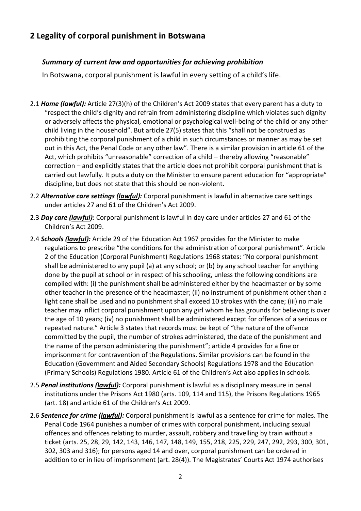### **2 Legality of corporal punishment in Botswana**

#### *Summary of current law and opportunities for achieving prohibition*

In Botswana, corporal punishment is lawful in every setting of a child's life.

- 2.1 *Home (lawful):* Article 27(3)(h) of the Children's Act 2009 states that every parent has a duty to "respect the child's dignity and refrain from administering discipline which violates such dignity or adversely affects the physical, emotional or psychological well-being of the child or any other child living in the household". But article 27(5) states that this "shall not be construed as prohibiting the corporal punishment of a child in such circumstances or manner as may be set out in this Act, the Penal Code or any other law". There is a similar provision in article 61 of the Act, which prohibits "unreasonable" correction of a child – thereby allowing "reasonable" correction – and explicitly states that the article does not prohibit corporal punishment that is carried out lawfully. It puts a duty on the Minister to ensure parent education for "appropriate" discipline, but does not state that this should be non-violent.
- 2.2 *Alternative care settings (lawful):* Corporal punishment is lawful in alternative care settings under articles 27 and 61 of the Children's Act 2009.
- 2.3 *Day care (lawful):* Corporal punishment is lawful in day care under articles 27 and 61 of the Children's Act 2009.
- 2.4 *Schools (lawful):* Article 29 of the Education Act 1967 provides for the Minister to make regulations to prescribe "the conditions for the administration of corporal punishment". Article 2 of the Education (Corporal Punishment) Regulations 1968 states: "No corporal punishment shall be administered to any pupil (a) at any school; or (b) by any school teacher for anything done by the pupil at school or in respect of his schooling, unless the following conditions are complied with: (i) the punishment shall be administered either by the headmaster or by some other teacher in the presence of the headmaster; (ii) no instrument of punishment other than a light cane shall be used and no punishment shall exceed 10 strokes with the cane; (iii) no male teacher may inflict corporal punishment upon any girl whom he has grounds for believing is over the age of 10 years; (iv) no punishment shall be administered except for offences of a serious or repeated nature." Article 3 states that records must be kept of "the nature of the offence committed by the pupil, the number of strokes administered, the date of the punishment and the name of the person administering the punishment"; article 4 provides for a fine or imprisonment for contravention of the Regulations. Similar provisions can be found in the Education (Government and Aided Secondary Schools) Regulations 1978 and the Education (Primary Schools) Regulations 1980. Article 61 of the Children's Act also applies in schools.
- 2.5 *Penal institutions (lawful):* Corporal punishment is lawful as a disciplinary measure in penal institutions under the Prisons Act 1980 (arts. 109, 114 and 115), the Prisons Regulations 1965 (art. 18) and article 61 of the Children's Act 2009.
- 2.6 *Sentence for crime (lawful):* Corporal punishment is lawful as a sentence for crime for males. The Penal Code 1964 punishes a number of crimes with corporal punishment, including sexual offences and offences relating to murder, assault, robbery and travelling by train without a ticket (arts. 25, 28, 29, 142, 143, 146, 147, 148, 149, 155, 218, 225, 229, 247, 292, 293, 300, 301, 302, 303 and 316); for persons aged 14 and over, corporal punishment can be ordered in addition to or in lieu of imprisonment (art. 28(4)). The Magistrates' Courts Act 1974 authorises